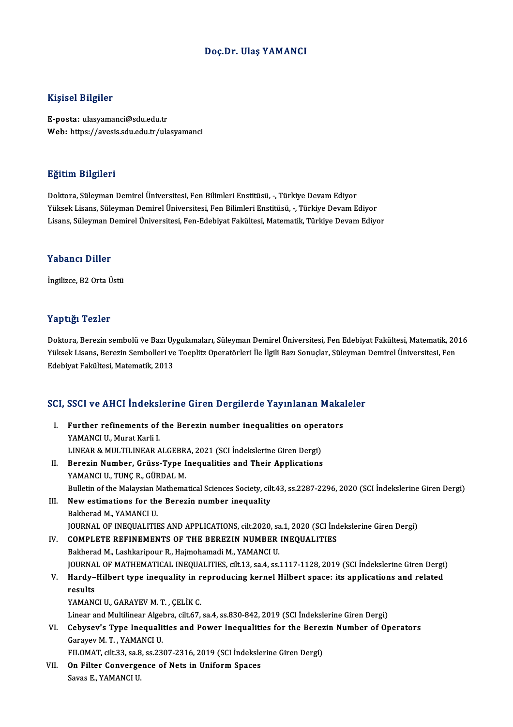### Doç.Dr. Ulaş YAMANCI

### Kişisel Bilgiler

E-posta: ulasyamanci@sdu.edu.tr Web: https://avesis.sdu.edu.tr/ulasyamanci

### Eğitim Bilgileri

Doktora, Süleyman Demirel Üniversitesi, Fen Bilimleri Enstitüsü, -, Türkiye Devam Ediyor Yüksek Lisans, Süleyman Demirel Üniversitesi, Fen Bilimleri Enstitüsü, -, Türkiye Devam Ediyor Lisans, Süleyman Demirel Üniversitesi, Fen-Edebiyat Fakültesi, Matematik, Türkiye Devam Ediyor

#### Yabancı Diller

İngilizce, B2 Orta Üstü

### Yaptığı Tezler

**Yaptığı Tezler**<br>Doktora, Berezin sembolü ve Bazı Uygulamaları, Süleyman Demirel Üniversitesi, Fen Edebiyat Fakültesi, Matematik, 2016<br>Yüksek Lisans, Berezin Sembolleri ve Teenlitz Operatörleri İle İlgili Bazı Senucler, Sü Yüksek Yözsek<br>Doktora, Berezin sembolü ve Bazı Uygulamaları, Süleyman Demirel Üniversitesi, Fen Edebiyat Fakültesi, Matematik, 20<br>Yüksek Lisans, Berezin Sembolleri ve Toeplitz Operatörleri İle İlgili Bazı Sonuçlar, Süleyma Doktora, Berezin sembolü ve Bazı Uy<br>Yüksek Lisans, Berezin Sembolleri ve<br>Edebiyat Fakültesi, Matematik, 2013

# Edebiyat Fakultesi, Matemauk, 2013<br>SCI, SSCI ve AHCI İndekslerine Giren Dergilerde Yayınlanan Makaleler

CI, SSCI ve AHCI İndekslerine Giren Dergilerde Yayınlanan Maka<br>I. Further refinements of the Berezin number inequalities on operators<br>XAMANCUL Murat Karli I **EXAMPLE THEORY<br>Further refinements of<br>YAMANCI U., Murat Karli I.<br>LINEAD & MULTU INEAD A** Further refinements of the Berezin number inequalities on oper<br>YAMANCI U., Murat Karli I.<br>LINEAR & MULTILINEAR ALGEBRA, 2021 (SCI İndekslerine Giren Dergi)<br>Benezin Number, Crüse Tune Inequalities and Their Annlisations YAMANCI U., Murat Karli I.<br>LINEAR & MULTILINEAR ALGEBRA, 2021 (SCI İndekslerine Giren Dergi)<br>II. Berezin Number, Grüss-Type Inequalities and Their Applications<br>YAMANCLU, TUNG B. GÜBDAL M LINEAR & MULTILINEAR ALGEBR<br>Berezin Number, Grüss-Type I<br>YAMANCI U., TUNÇ R., GÜRDAL M.<br>Pullatin of the Malawian Mathema Berezin Number, Grüss-Type Inequalities and Their Applications<br>YAMANCI U., TUNÇ R., GÜRDAL M.<br>Bulletin of the Malaysian Mathematical Sciences Society, cilt.43, ss.2287-2296, 2020 (SCI İndekslerine Giren Dergi)<br>New estimati YAMANCI U., TUNÇ R., GÜRDAL M.<br>Bulletin of the Malaysian Mathematical Sciences Society, cil<br>III. New estimations for the Berezin number inequality<br>Bakherad M., YAMANCI U. Bulletin of the Malaysian N<br>New estimations for the<br>Bakherad M., YAMANCI U.<br>JOUPNAL OF INFOUALITH JOURNAL OF INEQUALITIES AND APPLICATIONS, cilt.2020, sa.1, 2020 (SCI İndekslerine Giren Dergi) IV. COMPLETE REFINEMENTS OF THE BEREZIN NUMBER INEQUALITIES Bakherad M., Lashkaripour R., Hajmohamadi M., YAMANCI U. JOURNAL OF MATHEMATICAL INEQUALITIES, cilt.13, sa.4, ss.1117-1128, 2019 (SCI İndekslerine Giren Dergi) Bakherad M., Lashkaripour R., Hajmohamadi M., YAMANCI U.<br>JOURNAL OF MATHEMATICAL INEQUALITIES, cilt.13, sa.4, ss.1117-1128, 2019 (SCI İndekslerine Giren Dergi<br>V. Hardy–Hilbert type inequality in reproducing kernel Hilb JOURNA<br><mark>Hardy–</mark><br>results<br><sup>VAMANG</sup> Hardy–Hilbert type inequality in r<br>results<br>YAMANCI U., GARAYEV M. T. , ÇELİK C.<br>Linear and Multilinear Algebre, silt 67 results<br>YAMANCI U., GARAYEV M. T. , ÇELİK C.<br>Linear and Multilinear Algebra, cilt.67, sa.4, ss.830-842, 2019 (SCI İndekslerine Giren Dergi) YAMANCI U., GARAYEV M. T. , ÇELİK C.<br>Linear and Multilinear Algebra, cilt.67, sa.4, ss.830-842, 2019 (SCI İndekslerine Giren Dergi)<br>VI. Cebysev's Type Inequalities and Power Inequalities for the Berezin Number of Opera Linear and Multilinear Algel<br>Cebysev's Type Inequali<br>Garayev M. T. , YAMANCI U.<br>EU OMAT silt 22, so 8, ss 22 Cebysev's Type Inequalities and Power Inequalities for the Berez<br>Garayev M. T. , YAMANCI U.<br>FILOMAT, cilt.33, sa.8, ss.2307-2316, 2019 (SCI İndekslerine Giren Dergi)<br>On Eilter Convensence of Nets in Uniform Spasse. Garayev M. T. , YAMANCI U.<br>FILOMAT, cilt.33, sa.8, ss.2307-2316, 2019 (SCI İndeksle<br>VII. On Filter Convergence of Nets in Uniform Spaces<br>Sayse E VAMANCU U. FILOMAT, cilt.33, sa.8<br><mark>On Filter Converge</mark><br>Savas E., YAMANCI U.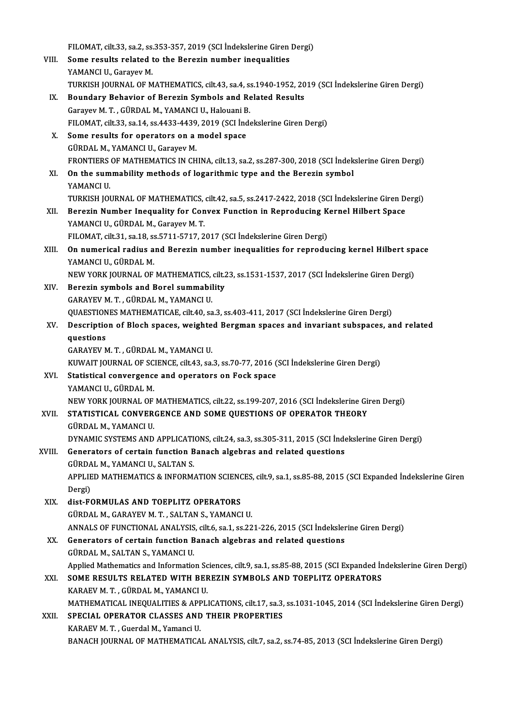|        | FILOMAT, cilt.33, sa.2, ss.353-357, 2019 (SCI Indekslerine Giren Dergi)                                            |
|--------|--------------------------------------------------------------------------------------------------------------------|
| VIII.  | Some results related to the Berezin number inequalities                                                            |
|        | YAMANCI U., Garayev M.                                                                                             |
|        | TURKISH JOURNAL OF MATHEMATICS, cilt43, sa.4, ss.1940-1952, 2019 (SCI İndekslerine Giren Dergi)                    |
| IX.    | Boundary Behavior of Berezin Symbols and Related Results                                                           |
|        | Garayev M. T., GÜRDAL M., YAMANCI U., Halouani B.                                                                  |
|        | FILOMAT, cilt.33, sa.14, ss.4433-4439, 2019 (SCI İndekslerine Giren Dergi)                                         |
|        |                                                                                                                    |
| Х.     | Some results for operators on a model space                                                                        |
|        | GÜRDAL M., YAMANCI U., Garayev M.                                                                                  |
| XI.    | FRONTIERS OF MATHEMATICS IN CHINA, cilt.13, sa.2, ss.287-300, 2018 (SCI Indekslerine Giren Dergi)                  |
|        | On the summability methods of logarithmic type and the Berezin symbol                                              |
|        | YAMANCI U.                                                                                                         |
|        | TURKISH JOURNAL OF MATHEMATICS, cilt.42, sa 5, ss.2417-2422, 2018 (SCI İndekslerine Giren Dergi)                   |
| XII.   | Berezin Number Inequality for Convex Function in Reproducing Kernel Hilbert Space                                  |
|        | YAMANCI U., GÜRDAL M., Garayev M. T.                                                                               |
|        | FILOMAT, cilt 31, sa.18, ss.5711-5717, 2017 (SCI İndekslerine Giren Dergi)                                         |
| XIII.  | On numerical radius and Berezin number inequalities for reproducing kernel Hilbert space                           |
|        | YAMANCI U., GÜRDAL M.                                                                                              |
|        | NEW YORK JOURNAL OF MATHEMATICS, cilt.23, ss.1531-1537, 2017 (SCI İndekslerine Giren Dergi)                        |
| XIV.   | Berezin symbols and Borel summability                                                                              |
|        | GARAYEV M. T., GÜRDAL M., YAMANCI U.                                                                               |
|        | QUAESTIONES MATHEMATICAE, cilt.40, sa.3, ss.403-411, 2017 (SCI İndekslerine Giren Dergi)                           |
| XV.    | Description of Bloch spaces, weighted Bergman spaces and invariant subspaces, and related                          |
|        | questions                                                                                                          |
|        | GARAYEV M. T., GÜRDAL M., YAMANCI U.                                                                               |
|        | KUWAIT JOURNAL OF SCIENCE, cilt.43, sa.3, ss.70-77, 2016 (SCI Indekslerine Giren Dergi)                            |
| XVI.   | Statistical convergence and operators on Fock space                                                                |
|        | YAMANCI U., GÜRDAL M.                                                                                              |
|        | NEW YORK JOURNAL OF MATHEMATICS, cilt.22, ss.199-207, 2016 (SCI İndekslerine Giren Dergi)                          |
| XVII.  | STATISTICAL CONVERGENCE AND SOME QUESTIONS OF OPERATOR THEORY                                                      |
|        | GÜRDAL M., YAMANCI U.                                                                                              |
|        | DYNAMIC SYSTEMS AND APPLICATIONS, cilt.24, sa.3, ss.305-311, 2015 (SCI Indekslerine Giren Dergi)                   |
| XVIII. | Generators of certain function Banach algebras and related questions                                               |
|        | GÜRDAL M., YAMANCI U., SALTAN S.                                                                                   |
|        | APPLIED MATHEMATICS & INFORMATION SCIENCES, cilt.9, sa.1, ss.85-88, 2015 (SCI Expanded Indekslerine Giren          |
|        | Dergi)                                                                                                             |
| XIX.   | dist-FORMULAS AND TOEPLITZ OPERATORS                                                                               |
|        | GÜRDAL M., GARAYEV M. T., SALTAN S., YAMANCI U.                                                                    |
|        | ANNALS OF FUNCTIONAL ANALYSIS, cilt.6, sa.1, ss.221-226, 2015 (SCI İndekslerine Giren Dergi)                       |
| XX.    | Generators of certain function Banach algebras and related questions                                               |
|        | GÜRDAL M., SALTAN S., YAMANCI U.                                                                                   |
|        | Applied Mathematics and Information Sciences, cilt.9, sa.1, ss.85-88, 2015 (SCI Expanded Indekslerine Giren Dergi) |
| XXI.   | SOME RESULTS RELATED WITH BEREZIN SYMBOLS AND TOEPLITZ OPERATORS                                                   |
|        | KARAEV M. T., GÜRDAL M., YAMANCI U.                                                                                |
|        | MATHEMATICAL INEQUALITIES & APPLICATIONS, cilt.17, sa.3, ss.1031-1045, 2014 (SCI Indekslerine Giren Dergi)         |
| XXII.  | SPECIAL OPERATOR CLASSES AND THEIR PROPERTIES                                                                      |
|        | KARAEV M. T., Guerdal M., Yamanci U.                                                                               |
|        | BANACH JOURNAL OF MATHEMATICAL ANALYSIS, cilt.7, sa.2, ss.74-85, 2013 (SCI Indekslerine Giren Dergi)               |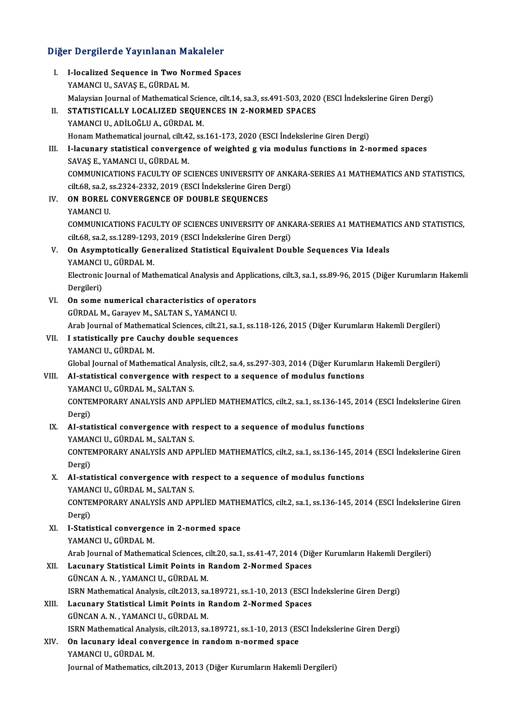## Diğer Dergilerde Yayınlanan Makaleler

| Diğer Dergilerde Yayınlanan Makaleler |                                                                                                                                                                    |  |
|---------------------------------------|--------------------------------------------------------------------------------------------------------------------------------------------------------------------|--|
| L                                     | I-localized Sequence in Two Normed Spaces                                                                                                                          |  |
|                                       | YAMANCI U., SAVAŞ E., GÜRDAL M.                                                                                                                                    |  |
|                                       | Malaysian Journal of Mathematical Science, cilt.14, sa.3, ss.491-503, 2020 (ESCI İndekslerine Giren Dergi)                                                         |  |
| П.                                    | STATISTICALLY LOCALIZED SEQUENCES IN 2-NORMED SPACES                                                                                                               |  |
|                                       | YAMANCI U., ADİLOĞLU A., GÜRDAL M.                                                                                                                                 |  |
|                                       | Honam Mathematical journal, cilt.42, ss.161-173, 2020 (ESCI İndekslerine Giren Dergi)                                                                              |  |
| III.                                  | I-lacunary statistical convergence of weighted g via modulus functions in 2-normed spaces                                                                          |  |
|                                       | SAVAŞ E, YAMANCI U, GÜRDAL M.                                                                                                                                      |  |
|                                       | COMMUNICATIONS FACULTY OF SCIENCES UNIVERSITY OF ANKARA-SERIES A1 MATHEMATICS AND STATISTICS,<br>cilt.68, sa.2, ss.2324-2332, 2019 (ESCI İndekslerine Giren Dergi) |  |
| IV.                                   | ON BOREL CONVERGENCE OF DOUBLE SEQUENCES                                                                                                                           |  |
|                                       | YAMANCI U.                                                                                                                                                         |  |
|                                       | COMMUNICATIONS FACULTY OF SCIENCES UNIVERSITY OF ANKARA-SERIES A1 MATHEMATICS AND STATISTICS,                                                                      |  |
|                                       | cilt.68, sa.2, ss.1289-1293, 2019 (ESCI İndekslerine Giren Dergi)                                                                                                  |  |
| V.                                    | On Asymptotically Generalized Statistical Equivalent Double Sequences Via Ideals                                                                                   |  |
|                                       | YAMANCI U., GÜRDAL M.                                                                                                                                              |  |
|                                       | Electronic Journal of Mathematical Analysis and Applications, cilt.3, sa.1, ss.89-96, 2015 (Diğer Kurumların Hakemli                                               |  |
|                                       | Dergileri)                                                                                                                                                         |  |
| VI.                                   | On some numerical characteristics of operators                                                                                                                     |  |
|                                       | GÜRDAL M., Garayev M., SALTAN S., YAMANCI U.                                                                                                                       |  |
|                                       | Arab Journal of Mathematical Sciences, cilt.21, sa.1, ss.118-126, 2015 (Diğer Kurumların Hakemli Dergileri)                                                        |  |
| VII.                                  | I statistically pre Cauchy double sequences                                                                                                                        |  |
|                                       | YAMANCI U., GÜRDAL M.                                                                                                                                              |  |
|                                       | Global Journal of Mathematical Analysis, cilt.2, sa.4, ss.297-303, 2014 (Diğer Kurumların Hakemli Dergileri)                                                       |  |
| VIII.                                 | AI-statistical convergence with respect to a sequence of modulus functions                                                                                         |  |
|                                       | YAMANCI U., GÜRDAL M., SALTAN S.                                                                                                                                   |  |
|                                       | CONTEMPORARY ANALYSIS AND APPLIED MATHEMATICS, cilt.2, sa.1, ss.136-145, 2014 (ESCI Indekslerine Giren                                                             |  |
|                                       | Dergi)<br>IX. AI-statistical convergence with respect to a sequence of modulus functions                                                                           |  |
|                                       | YAMANCI U., GÜRDAL M., SALTAN S.                                                                                                                                   |  |
|                                       | CONTEMPORARY ANALYSIS AND APPLIED MATHEMATICS, cilt.2, sa.1, ss.136-145, 2014 (ESCI Indekslerine Giren                                                             |  |
|                                       | Dergi)                                                                                                                                                             |  |
| X.                                    | AI-statistical convergence with respect to a sequence of modulus functions                                                                                         |  |
|                                       | YAMANCI U., GÜRDAL M., SALTAN S.                                                                                                                                   |  |
|                                       | CONTEMPORARY ANALYSIS AND APPLIED MATHEMATICS, cilt.2, sa.1, ss.136-145, 2014 (ESCI Indekslerine Giren                                                             |  |
|                                       | Dergi)                                                                                                                                                             |  |
| XI.                                   | I-Statistical convergence in 2-normed space                                                                                                                        |  |
|                                       | YAMANCI U., GÜRDAL M.                                                                                                                                              |  |
|                                       | Arab Journal of Mathematical Sciences, cilt.20, sa.1, ss.41-47, 2014 (Diğer Kurumların Hakemli Dergileri)                                                          |  |
| XII.                                  | Lacunary Statistical Limit Points in Random 2-Normed Spaces                                                                                                        |  |
|                                       | GÜNCAN A. N., YAMANCI U., GÜRDAL M.                                                                                                                                |  |
|                                       | ISRN Mathematical Analysis, cilt.2013, sa.189721, ss.1-10, 2013 (ESCI İndekslerine Giren Dergi)                                                                    |  |
| XIII.                                 | Lacunary Statistical Limit Points in Random 2-Normed Spaces                                                                                                        |  |
|                                       | GÜNCAN A. N., YAMANCI U., GÜRDAL M.                                                                                                                                |  |
|                                       | ISRN Mathematical Analysis, cilt.2013, sa.189721, ss.1-10, 2013 (ESCI İndekslerine Giren Dergi)                                                                    |  |
| XIV.                                  | On lacunary ideal convergence in random n-normed space<br>YAMANCI U., GÜRDAL M.                                                                                    |  |
|                                       | Journal of Mathematics, cilt.2013, 2013 (Diğer Kurumların Hakemli Dergileri)                                                                                       |  |
|                                       |                                                                                                                                                                    |  |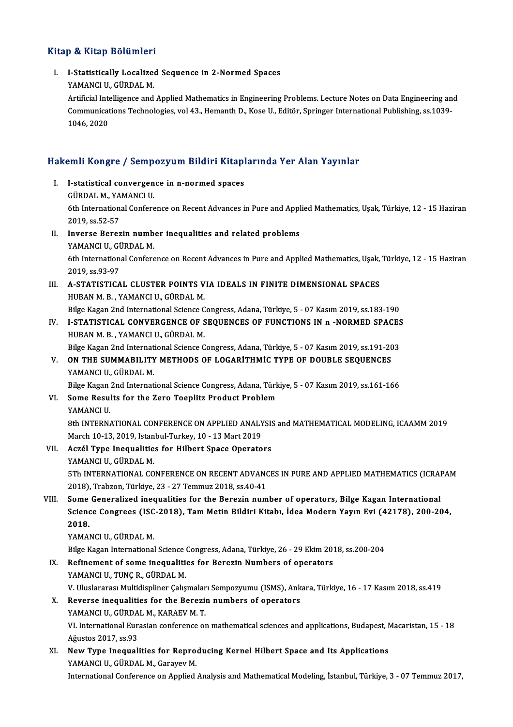### Kitap & Kitap Bölümleri

I. I-Statistical y Localized Sequence in 2-Normed Spaces y & HRup Bordmon.<br>I-Statistically Localize<br>YAMANCI U., GÜRDAL M.

I-Statistically Localized Sequence in 2-Normed Spaces<br>YAMANCI U., GÜRDAL M.<br>Artificial Intelligence and Applied Mathematics in Engineering Problems. Lecture Notes on Data Engineering and<br>Communications Technologies vol.43, YAMANCI U., GÜRDAL M.<br>Artificial Intelligence and Applied Mathematics in Engineering Problems. Lecture Notes on Data Engineering an<br>Communications Technologies, vol 43., Hemanth D., Kose U., Editör, Springer International Artificial Inte<br>Communicat<br>1046, 2020

# 1046, 2020<br>Hakemli Kongre / Sempozyum Bildiri Kitaplarında Yer Alan Yayınlar

akemli Kongre / Sempozyum Bildiri Kitapl<br>I. I-statistical convergence in n-normed spaces<br>CÜPDALM YAMANCUL I. I-statistical convergence in n-normed spaces<br>GÜRDAL M., YAMANCI U. I-statistical convergence in n-normed spaces<br>GÜRDAL M., YAMANCI U.<br>6th International Conference on Recent Advances in Pure and Applied Mathematics, Uşak, Türkiye, 12 - 15 Haziran<br>2019, SS 52 52 GÜRDAL M., YA<br>6th Internation<br>2019, ss.52-57<br>Inverse Peren 6th International Conference on Recent Advances in Pure and Appl<br>2019, ss.52-57<br>II. Inverse Berezin number inequalities and related problems<br>YAMANGUL CÜRDALM 2019, ss.52-57<br>Inverse Berezin numb<br>YAMANCI U., GÜRDAL M.<br><sup>Eth Intornational Confore</sup> Inverse Berezin number inequalities and related problems<br>YAMANCI U., GÜRDAL M.<br>6th International Conference on Recent Advances in Pure and Applied Mathematics, Uşak, Türkiye, 12 - 15 Haziran<br>2019, ss.92 97 YAMANCI U., GÜRDAL M.<br>6th International Conference on Recent Advances in Pure and Applied Mathematics, Uşak,<br>2019, ss.93-97<br>III. A-STATISTICAL CLUSTER POINTS VIA IDEALS IN FINITE DIMENSIONAL SPACES 6th International Conference on Recent Advances in Pure and Applied Mathematics, Usak,<br>2019, ss.93-97<br>III. A-STATISTICAL CLUSTER POINTS VIA IDEALS IN FINITE DIMENSIONAL SPACES<br>HIRAN M. B. VAMANCUL CÜRDAL M HUBAN M. B., YAMANCI U., GÜRDAL M. A-STATISTICAL CLUSTER POINTS VIA IDEALS IN FINITE DIMENSIONAL SPACES<br>HUBAN M. B. , YAMANCI U., GÜRDAL M.<br>Bilge Kagan 2nd International Science Congress, Adana, Türkiye, 5 - 07 Kasım 2019, ss.183-190<br>LSTATISTICAL CONVERCENC IV. I-STATISTICAL CONVERGENCE OF SEQUENCES OF FUNCTIONS IN n -NORMED SPACES<br>HUBAN M. B., YAMANCI U., GÜRDAL M. Bilge Kagan 2nd International Science C<br>I**-STATISTICAL CONVERGENCE OF S<br>HUBAN M. B., YAMANCI U., GÜRDAL M.**<br>Bilge Kagan 2nd International Science C I-STATISTICAL CONVERGENCE OF SEQUENCES OF FUNCTIONS IN n -NORMED SPACES<br>HUBAN M. B., YAMANCI U., GÜRDAL M.<br>Bilge Kagan 2nd International Science Congress, Adana, Türkiye, 5 - 07 Kasım 2019, ss.191-203<br>ON THE SUMMARILITY ME HUBAN M. B., YAMANCI U., GÜRDAL M.<br>Bilge Kagan 2nd International Science Congress, Adana, Türkiye, 5 - 07 Kasım 2019, ss.191-20<br>V. ON THE SUMMABILITY METHODS OF LOGARITHMIC TYPE OF DOUBLE SEQUENCES<br>VAMANCUL CÜRDAL M Bilge Kagan 2nd Internat<br>ON THE SUMMABILITY<br>YAMANCI U., GÜRDAL M.<br>Bilge Kagan 2nd Internat ON THE SUMMABILITY METHODS OF LOGARITHMIC TYPE OF DOUBLE SEQUENCES<br>YAMANCI U., GÜRDAL M.<br>Bilge Kagan 2nd International Science Congress, Adana, Türkiye, 5 - 07 Kasım 2019, ss.161-166<br>Sama Basults for the Zara Tooplitz Brod YAMANCI U., GÜRDAL M.<br>Bilge Kagan 2nd International Science Congress, Adana, Tür<br>VI. Some Results for the Zero Toeplitz Product Problem<br>YAMANCI U. Bilge Kagan 2nd International Science Congress, Adana, Türkiye, 5 - 07 Kasım 2019, ss.161-166 Some Results for the Zero Toeplitz Product Problem<br>YAMANCI U.<br>8th INTERNATIONAL CONFERENCE ON APPLIED ANALYSIS and MATHEMATICAL MODELING, ICAAMM 2019<br>March 10.13.2019, Jetaphyl Tyrkov, 10., 13 Mart 2019. YAMANCI U.<br>8th INTERNATIONAL CONFERENCE ON APPLIED ANALY<br>March 10-13, 2019, Istanbul-Turkey, 10 - 13 Mart 2019<br>Acrál Ture Incavalities for Hilbert Space Operate 8th INTERNATIONAL CONFERENCE ON APPLIED ANALYSIS<br>March 10-13, 2019, Istanbul-Turkey, 10 - 13 Mart 2019<br>VII. Aczél Type Inequalities for Hilbert Space Operators<br>VAMANCLU, CÜRDAL M March 10-13, 2019, Istan<br><mark>Aczél Type Inequalitie</mark><br>YAMANCI U., GÜRDAL M.<br>ETh INTERNATIONAL CO YAMANCI U., GÜRDAL M.<br>5Th INTERNATIONAL CONFERENCE ON RECENT ADVANCES IN PURE AND APPLIED MATHEMATICS (ICRAPAM 2018),Trabzon,Türkiye,23 -27Temmuz2018, ss.40-41 5Th INTERNATIONAL CONFERENCE ON RECENT ADVANCES IN PURE AND APPLIED MATHEMATICS (ICRAL<br>2018), Trabzon, Türkiye, 23 - 27 Temmuz 2018, ss.40-41<br>VIII. Some Generalized inequalities for the Berezin number of operators, Bilge K 2018), Trabzon, Türkiye, 23 - 27 Temmuz 2018, ss.40-41<br>Some Generalized inequalities for the Berezin number of operators, Bilge Kagan International<br>Science Congrees (ISC-2018), Tam Metin Bildiri Kitabı, İdea Modern Yayın E Some<br>Sciend<br>2018.<br>VAMAL Science Congrees (ISC<br>2018.<br>YAMANCI U., GÜRDAL M.<br>Bilse Kesan International 2018.<br>YAMANCI U., GÜRDAL M.<br>Bilge Kagan International Science Congress, Adana, Türkiye, 26 - 29 Ekim 2018, ss.200-204 YAMANCI U., GÜRDAL M.<br>Bilge Kagan International Science Congress, Adana, Türkiye, 26 - 29 Ekim 2013<br>IX. Refinement of some inequalities for Berezin Numbers of operators<br>VAMANCUU TUNG B. GÜRDAL M. Bilge Kagan International Science<br>Refinement of some inequaliti<br>YAMANCI U., TUNÇ R., GÜRDAL M.<br>V. Uluslararası Multidispliner Calis Refinement of some inequalities for Berezin Numbers of operators<br>YAMANCI U., TUNÇ R., GÜRDAL M.<br>V. Uluslararası Multidispliner Çalışmaları Sempozyumu (ISMS), Ankara, Türkiye, 16 - 17 Kasım 2018, ss.419<br>Beyerse inequalities YAMANCI U., TUNÇ R., GÜRDAL M.<br>V. Uluslararası Multidispliner Çalışmaları Sempozyumu (ISMS), Ank<br>X. Reverse inequalities for the Berezin numbers of operators<br>YAMANCI U., GÜRDAL M., KARAEV M. T. V. Uluslararası Multidispliner Çalışmalar<br>Reverse inequalities for the Berezii<br>YAMANCI U., GÜRDAL M., KARAEV M. T.<br>VI. International Euresian conference of Reverse inequalities for the Berezin numbers of operators<br>YAMANCI U., GÜRDAL M., KARAEV M. T.<br>VI. International Eurasian conference on mathematical sciences and applications, Budapest, Macaristan, 15 - 18<br>Ağustos 2017, ss. YAMANCI U., GÜRDA<br>VI. International Eur<br>Ağustos 2017, ss.93<br>Naw Tune Incausl VI. International Eurasian conference on mathematical sciences and applications, Budapest, N<br>Ağustos 2017, ss.93<br>XI. New Type Inequalities for Reproducing Kernel Hilbert Space and Its Applications<br>XAMANCLU CÜPDAL M. CARNOV Ağustos 2017, ss.93<br><mark>New Type Inequalities for Repro</mark><br>YAMANCI U., GÜRDAL M., Garayev M.<br>International Cenference en Annlied

YAMANCI U., GÜRDAL M., Garayev M.<br>International Conference on Applied Analysis and Mathematical Modeling, İstanbul, Türkiye, 3 - 07 Temmuz 2017,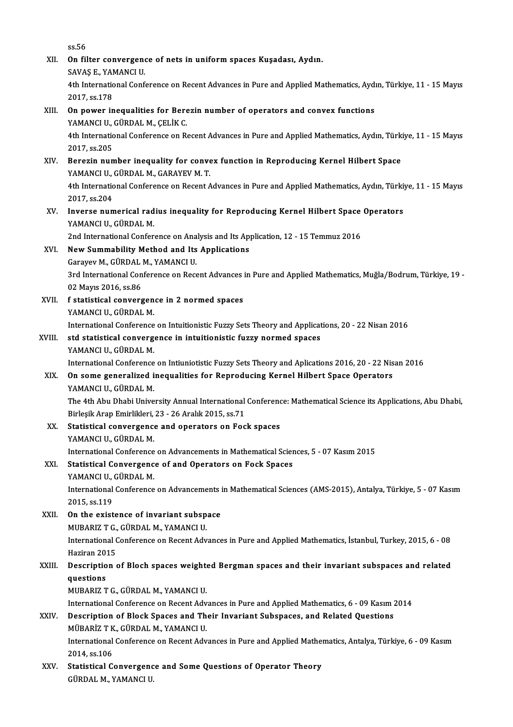ss.56

ss.56<br>XII. On filter convergence of nets in uniform spaces Kuşadası, Aydın.<br>SAVAS E. YAMANCUU ss.56<br>**On filter convergen**<br>SAVAŞ E., YAMANCI U.<br>4th International Conf 0n filter convergence of nets in uniform spaces Kuşadası, Aydın.<br>SAVAŞ E., YAMANCI U.<br>4th International Conference on Recent Advances in Pure and Applied Mathematics, Aydın, Türkiye, 11 - 15 Mayıs<br>2017 *s*e 179 SAVAŞ E., YAN<br>4th Internatio<br>2017, ss.178 2017, ss.178<br>XIII. On power inequalities for Berezin number of operators and convex functions 2017, ss.178<br>**On power inequalities for Bere**<br>YAMANCI U., GÜRDAL M., ÇELİK C.<br>4th International Conference on B. 4th International Conference on Recent Advances in Pure and Applied Mathematics, Aydın, Türkiye, 11 - 15 Mayıs<br>2017. ss.205 YAMANCI U.,<br>4th Internatio<br>2017, ss.205<br>Bonozin nun 4th International Conference on Recent Advances in Pure and Applied Mathematics, Aydın, Türk<br>2017, ss.205<br>XIV. Berezin number inequality for convex function in Reproducing Kernel Hilbert Space<br>XAMANCUL CÜRDAL M. CARAYEV M. 2017, ss.205<br>Berezin number inequality for conve<br>YAMANCI U., GÜRDAL M., GARAYEV M. T.<br>4th International Conference on Becent A 4th International Conference on Recent Advances in Pure and Applied Mathematics, Aydın, Türkiye, 11 - 15 Mayıs<br>2017, ss.204 YAMANCI U., GÜRDAL M., GARAYEV M.T. 4th International Conference on Recent Advances in Pure and Applied Mathematics, Aydın, Türki:<br>2017, ss.204<br>XV. Inverse numerical radius inequality for Reproducing Kernel Hilbert Space Operators<br>XAMANGUL CÜPDALM 2017, ss.204<br>Inverse numerical rad<br>YAMANCI U., GÜRDAL M.<br>2nd International Confor Inverse numerical radius inequality for Reproducing Kernel Hilbert Space<br>YAMANCI U., GÜRDAL M.<br>2nd International Conference on Analysis and Its Application, 12 - 15 Temmuz 2016<br>New Summability Method and Its Applications YAMANCI U., GÜRDAL M.<br>2nd International Conference on Analysis and Its Ap<br>XVI. New Summability Method and Its Applications<br>Garayev M., GÜRDAL M., YAMANCI U. 2nd International Conference on Analysis and Its Application, 12 - 15 Temmuz 2016 New Summability Method and Its Applications<br>Garayev M., GÜRDAL M., YAMANCI U.<br>3rd International Conference on Recent Advances in Pure and Applied Mathematics, Muğla/Bodrum, Türkiye, 19 -<br>03 Mayre 3016, 88.86 Garayev M., GÜRDAL<br>3rd International Con<br>02 Mayıs 2016, ss.86<br>f statistical convens 3rd International Conference on Recent Advances<br>02 Mayıs 2016, ss.86<br>XVII. f statistical convergence in 2 normed spaces<br>XAMANCUL CÜPDALM 02 Mayıs 2016, ss.86<br>f statistical convergen<br>YAMANCI U., GÜRDAL M.<br>International Conference International Conference in 2 normed spaces<br>International Conference on Intuitionistic Fuzzy Sets Theory and Applications, 20 - 22 Nisan 2016<br>Std statistical convergence in intuitionistic fuzzy normed spaces YAMANCI U., GÜRDAL M.<br>International Conference on Intuitionistic Fuzzy Sets Theory and Applicat<br>XVIII. std statistical convergence in intuitionistic fuzzy normed spaces<br>YAMANCI U., GÜRDAL M. International Conference<br>std statistical converge<br>YAMANCI U., GÜRDAL M.<br>International Conference std statistical convergence in intuitionistic fuzzy normed spaces<br>YAMANCI U., GÜRDAL M.<br>International Conference on Intiuniotistic Fuzzy Sets Theory and Aplications 2016, 20 - 22 Nisan 2016<br>On some generalized inequalities XIX. On some generalized inequalities for Reproducing Kernel Hilbert Space Operators International Conference<br>On some generalized i<br>YAMANCI U., GÜRDAL M.<br>The 4th Abu Dhebi Unive On some generalized inequalities for Reproducing Kernel Hilbert Space Operators<br>YAMANCI U., GÜRDAL M.<br>The 4th Abu Dhabi University Annual International Conference: Mathematical Science its Applications, Abu Dhabi,<br>Birlesik YAMANCI U., GÜRDAL M.<br>The 4th Abu Dhabi University Annual International<br>Birleşik Arap Emirlikleri, 23 - 26 Aralık 2015, ss.71<br>Statistical convenzence and onerators en Foe XX. Statistical convergence and operators on Fock spaces<br>YAMANCI U. GÜRDAL M. Birleşik Arap Emirlikleri, 23 - 26 Aralık 2015, ss.71 Statistical convergence and operators on Fock spaces<br>YAMANCI U., GÜRDAL M.<br>International Conference on Advancements in Mathematical Sciences, 5 - 07 Kasım 2015<br>Statistical Convergence of and Operators on Fock Spaces. XXI. Statistical Convergence of and Operators on Fock Spaces International Conference<br>Statistical Convergenc<br>YAMANCI U., GÜRDAL M.<br>International Conference International Conference on Advancements in Mathematical Sciences (AMS-2015), Antalya, Türkiye, 5 - 07 Kasım<br>2015. ss.119 YAMANCI U., GÜRDAL M. XXII. On the existence of invariant subspace 2015, ss.119<br>On the existence of invariant subsp<br>MUBARIZ T G., GÜRDAL M., YAMANCI U.<br>International Conference on Becent Adv International Conference on Recent Advances in Pure and Applied Mathematics, İstanbul, Turkey, 2015, 6 - 08<br>Haziran 2015 MUBARIZ T G.,<br>International (<br>Haziran 2015<br>Description International Conference on Recent Advances in Pure and Applied Mathematics, İstanbul, Turkey, 2015, 6 - 08<br>Haziran 2015<br>XXIII. Description of Bloch spaces weighted Bergman spaces and their invariant subspaces and related<br> Haziran 20<mark>:</mark><br>Descriptio<br>questions<br>MUPAPIZ T Description of Bloch spaces weight<br>questions<br>MUBARIZ T G., GÜRDAL M., YAMANCI U.<br>International Conference on Becont Adv questions<br>MUBARIZ T G., GÜRDAL M., YAMANCI U.<br>International Conference on Recent Advances in Pure and Applied Mathematics, 6 - 09 Kasım 2014 XXIV. Description of Block Spaces and Their Invariant Subspaces, and Related Questions International Conference on Recent Adv<br>Description of Block Spaces and Th<br>MÜBARİZ T K., GÜRDAL M., YAMANCI U.<br>International Conference on Becent Adv International Conference on Recent Advances in Pure and Applied Mathematics, Antalya, Türkiye, 6 - 09 Kasım 2014, ss.106 MÜBARİZ T K<br>International<br>2014, ss.106<br>Statiotical C International Conference on Recent Advances in Pure and Applied Mather<br>2014, ss.106<br>XXV. Statistical Convergence and Some Questions of Operator Theory 2014, ss.106<br>Statistical Convergenc<br>GÜRDAL M., YAMANCI U.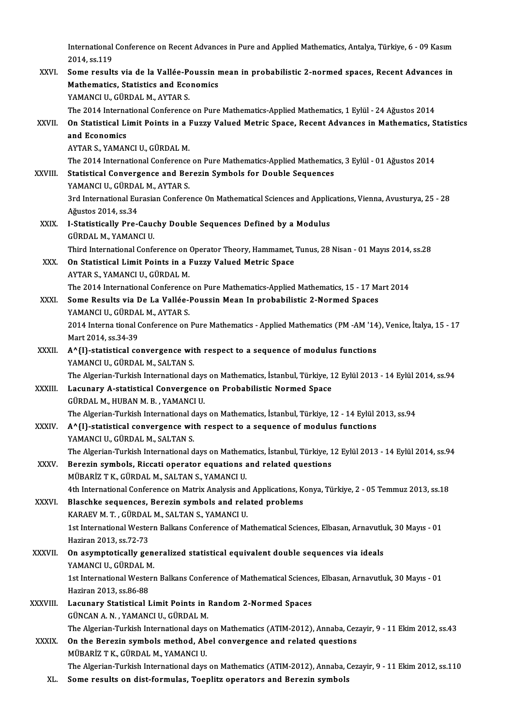International Conference on Recent Advances in Pure and Applied Mathematics, Antalya, Türkiye, 6 - 09 Kasım<br>2014. as 119 International<br>2014, ss.119<br>Some neeult

|               | International Conference on Recent Advances in Pure and Applied Mathematics, Antalya, Türkiye, 6 - 09 Kasım     |
|---------------|-----------------------------------------------------------------------------------------------------------------|
|               | 2014, ss 119                                                                                                    |
| XXVI.         | Some results via de la Vallée-Poussin mean in probabilistic 2-normed spaces, Recent Advances in                 |
|               | Mathematics, Statistics and Economics                                                                           |
|               | YAMANCI U., GÜRDAL M., AYTAR S.                                                                                 |
|               | The 2014 International Conference on Pure Mathematics-Applied Mathematics, 1 Eylül - 24 Ağustos 2014            |
| XXVII.        | On Statistical Limit Points in a Fuzzy Valued Metric Space, Recent Advances in Mathematics, Statistics          |
|               | and Economics                                                                                                   |
|               | AYTAR S., YAMANCI U., GÜRDAL M.                                                                                 |
|               | The 2014 International Conference on Pure Mathematics-Applied Mathematics, 3 Eylül - 01 Ağustos 2014            |
| XXVIII.       | Statistical Convergence and Berezin Symbols for Double Sequences                                                |
|               | YAMANCI U., GÜRDAL M., AYTAR S.                                                                                 |
|               | 3rd International Eurasian Conference On Mathematical Sciences and Applications, Vienna, Avusturya, 25 - 28     |
|               | Ağustos 2014, ss 34                                                                                             |
| XXIX.         | I-Statistically Pre-Cauchy Double Sequences Defined by a Modulus                                                |
|               | GÜRDAL M., YAMANCI U.                                                                                           |
|               | Third International Conference on Operator Theory, Hammamet, Tunus, 28 Nisan - 01 Mayıs 2014, ss.28             |
| XXX.          | On Statistical Limit Points in a Fuzzy Valued Metric Space                                                      |
|               | AYTAR S., YAMANCI U., GÜRDAL M.                                                                                 |
|               | The 2014 International Conference on Pure Mathematics-Applied Mathematics, 15 - 17 Mart 2014                    |
| XXXI.         | Some Results via De La Vallée-Poussin Mean In probabilistic 2-Normed Spaces                                     |
|               | YAMANCI U., GÜRDAL M., AYTAR S.                                                                                 |
|               | 2014 Interna tional Conference on Pure Mathematics - Applied Mathematics (PM -AM '14), Venice, İtalya, 15 - 17  |
|               | Mart 2014, ss 34-39                                                                                             |
| XXXII.        | A^{I}-statistical convergence with respect to a sequence of modulus functions                                   |
|               | YAMANCI U., GÜRDAL M., SALTAN S.                                                                                |
|               | The Algerian-Turkish International days on Mathematics, İstanbul, Türkiye, 12 Eylül 2013 - 14 Eylül 2014, ss.94 |
| XXXIII.       | Lacunary A-statistical Convergence on Probabilistic Normed Space                                                |
|               | GÜRDAL M, HUBAN M B, YAMANCI U.                                                                                 |
|               | The Algerian-Turkish International days on Mathematics, İstanbul, Türkiye, 12 - 14 Eylül 2013, ss.94            |
| <b>XXXIV</b>  | A^{I}-statistical convergence with respect to a sequence of modulus functions                                   |
|               | YAMANCI U., GÜRDAL M., SALTAN S.                                                                                |
|               | The Algerian-Turkish International days on Mathematics, İstanbul, Türkiye, 12 Eylül 2013 - 14 Eylül 2014, ss.94 |
| <b>XXXV</b>   | Berezin symbols, Riccati operator equations and related questions                                               |
|               | MÜBARİZ T K., GÜRDAL M., SALTAN S., YAMANCI U.                                                                  |
|               | 4th International Conference on Matrix Analysis and Applications, Konya, Türkiye, 2 - 05 Temmuz 2013, ss.18     |
| XXXVI.        | Blaschke sequences, Berezin symbols and related problems                                                        |
|               | KARAEV M. T., GÜRDAL M., SALTAN S., YAMANCI U.                                                                  |
|               | 1st International Western Balkans Conference of Mathematical Sciences, Elbasan, Arnavutluk, 30 Mayıs - 01       |
|               | Haziran 2013, ss 72-73                                                                                          |
| <b>XXXVII</b> | On asymptotically generalized statistical equivalent double sequences via ideals                                |
|               | YAMANCI U., GÜRDAL M.                                                                                           |
|               | 1st International Western Balkans Conference of Mathematical Sciences, Elbasan, Arnavutluk, 30 Mayıs - 01       |
|               | Haziran 2013, ss 86-88                                                                                          |
| XXXVIII.      | Lacunary Statistical Limit Points in Random 2-Normed Spaces                                                     |
|               | GÜNCAN A. N., YAMANCI U., GÜRDAL M.                                                                             |
|               | The Algerian-Turkish International days on Mathematics (ATIM-2012), Annaba, Cezayir, 9 - 11 Ekim 2012, ss.43    |
| <b>XXXIX</b>  | On the Berezin symbols method, Abel convergence and related questions                                           |
|               | MÜBARİZ T K., GÜRDAL M., YAMANCI U.                                                                             |
|               | The Algerian-Turkish International days on Mathematics (ATIM-2012), Annaba, Cezayir, 9 - 11 Ekim 2012, ss.110   |
| XL.           | Some results on dist-formulas, Toeplitz operators and Berezin symbols                                           |
|               |                                                                                                                 |